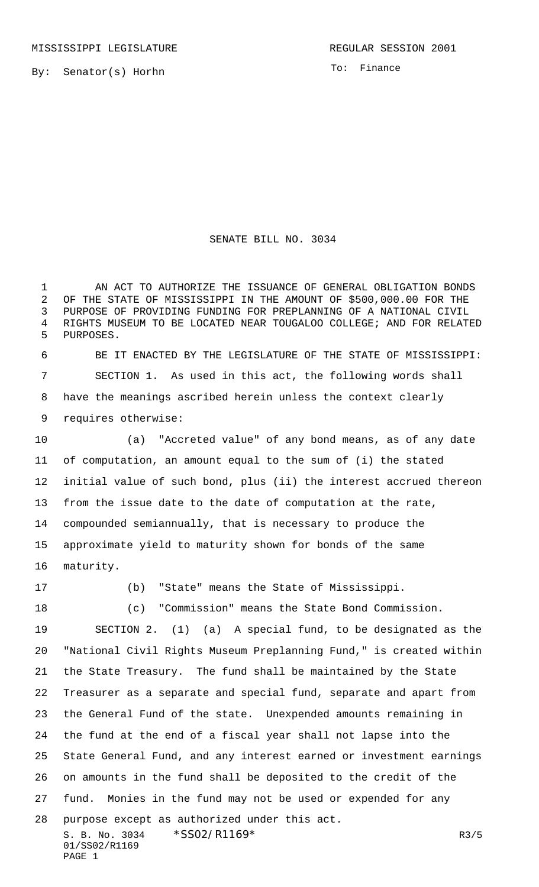By: Senator(s) Horhn

To: Finance

## SENATE BILL NO. 3034

1 AN ACT TO AUTHORIZE THE ISSUANCE OF GENERAL OBLIGATION BONDS OF THE STATE OF MISSISSIPPI IN THE AMOUNT OF \$500,000.00 FOR THE PURPOSE OF PROVIDING FUNDING FOR PREPLANNING OF A NATIONAL CIVIL RIGHTS MUSEUM TO BE LOCATED NEAR TOUGALOO COLLEGE; AND FOR RELATED PURPOSES.

 BE IT ENACTED BY THE LEGISLATURE OF THE STATE OF MISSISSIPPI: SECTION 1. As used in this act, the following words shall have the meanings ascribed herein unless the context clearly requires otherwise:

 (a) "Accreted value" of any bond means, as of any date of computation, an amount equal to the sum of (i) the stated initial value of such bond, plus (ii) the interest accrued thereon from the issue date to the date of computation at the rate, compounded semiannually, that is necessary to produce the approximate yield to maturity shown for bonds of the same maturity.

(b) "State" means the State of Mississippi.

S. B. No. 3034 \*SS02/R1169\* R3/5 01/SS02/R1169 (c) "Commission" means the State Bond Commission. SECTION 2. (1) (a) A special fund, to be designated as the "National Civil Rights Museum Preplanning Fund," is created within the State Treasury. The fund shall be maintained by the State Treasurer as a separate and special fund, separate and apart from the General Fund of the state. Unexpended amounts remaining in the fund at the end of a fiscal year shall not lapse into the State General Fund, and any interest earned or investment earnings on amounts in the fund shall be deposited to the credit of the fund. Monies in the fund may not be used or expended for any purpose except as authorized under this act.

PAGE 1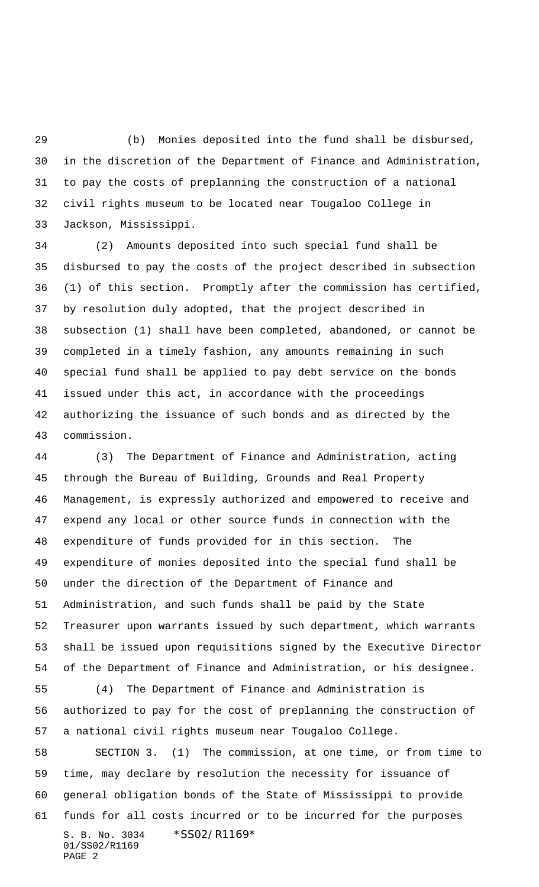(b) Monies deposited into the fund shall be disbursed, in the discretion of the Department of Finance and Administration, to pay the costs of preplanning the construction of a national civil rights museum to be located near Tougaloo College in Jackson, Mississippi.

 (2) Amounts deposited into such special fund shall be disbursed to pay the costs of the project described in subsection (1) of this section. Promptly after the commission has certified, by resolution duly adopted, that the project described in subsection (1) shall have been completed, abandoned, or cannot be completed in a timely fashion, any amounts remaining in such special fund shall be applied to pay debt service on the bonds issued under this act, in accordance with the proceedings authorizing the issuance of such bonds and as directed by the commission.

 (3) The Department of Finance and Administration, acting through the Bureau of Building, Grounds and Real Property Management, is expressly authorized and empowered to receive and expend any local or other source funds in connection with the expenditure of funds provided for in this section. The expenditure of monies deposited into the special fund shall be under the direction of the Department of Finance and Administration, and such funds shall be paid by the State Treasurer upon warrants issued by such department, which warrants shall be issued upon requisitions signed by the Executive Director of the Department of Finance and Administration, or his designee.

 (4) The Department of Finance and Administration is authorized to pay for the cost of preplanning the construction of a national civil rights museum near Tougaloo College.

S. B. No. 3034 \* SS02/R1169\* 01/SS02/R1169 PAGE 2 SECTION 3. (1) The commission, at one time, or from time to time, may declare by resolution the necessity for issuance of general obligation bonds of the State of Mississippi to provide funds for all costs incurred or to be incurred for the purposes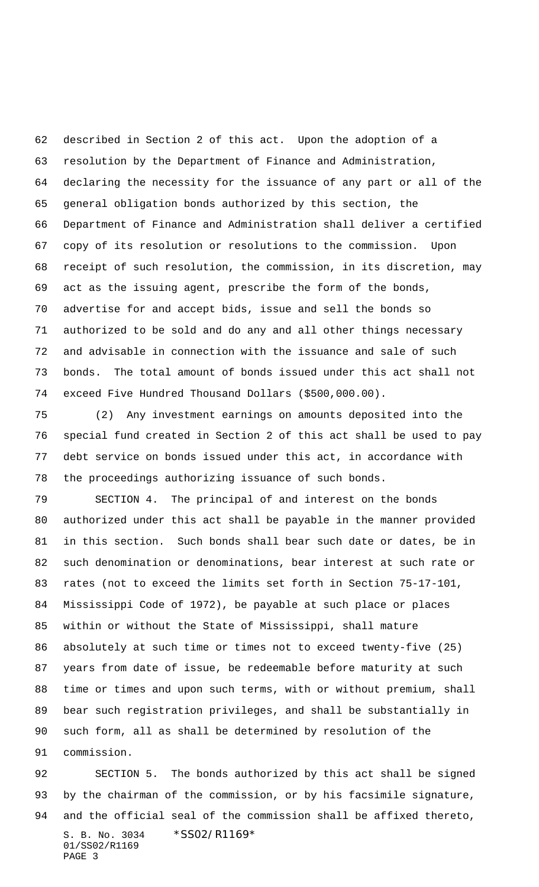described in Section 2 of this act. Upon the adoption of a resolution by the Department of Finance and Administration, declaring the necessity for the issuance of any part or all of the general obligation bonds authorized by this section, the Department of Finance and Administration shall deliver a certified copy of its resolution or resolutions to the commission. Upon receipt of such resolution, the commission, in its discretion, may act as the issuing agent, prescribe the form of the bonds, advertise for and accept bids, issue and sell the bonds so authorized to be sold and do any and all other things necessary and advisable in connection with the issuance and sale of such bonds. The total amount of bonds issued under this act shall not exceed Five Hundred Thousand Dollars (\$500,000.00).

 (2) Any investment earnings on amounts deposited into the special fund created in Section 2 of this act shall be used to pay debt service on bonds issued under this act, in accordance with the proceedings authorizing issuance of such bonds.

 SECTION 4. The principal of and interest on the bonds authorized under this act shall be payable in the manner provided in this section. Such bonds shall bear such date or dates, be in such denomination or denominations, bear interest at such rate or rates (not to exceed the limits set forth in Section 75-17-101, Mississippi Code of 1972), be payable at such place or places within or without the State of Mississippi, shall mature absolutely at such time or times not to exceed twenty-five (25) years from date of issue, be redeemable before maturity at such time or times and upon such terms, with or without premium, shall bear such registration privileges, and shall be substantially in such form, all as shall be determined by resolution of the

S. B. No. 3034 \* SS02/R1169\* 01/SS02/R1169 PAGE 3 SECTION 5. The bonds authorized by this act shall be signed by the chairman of the commission, or by his facsimile signature, and the official seal of the commission shall be affixed thereto,

commission.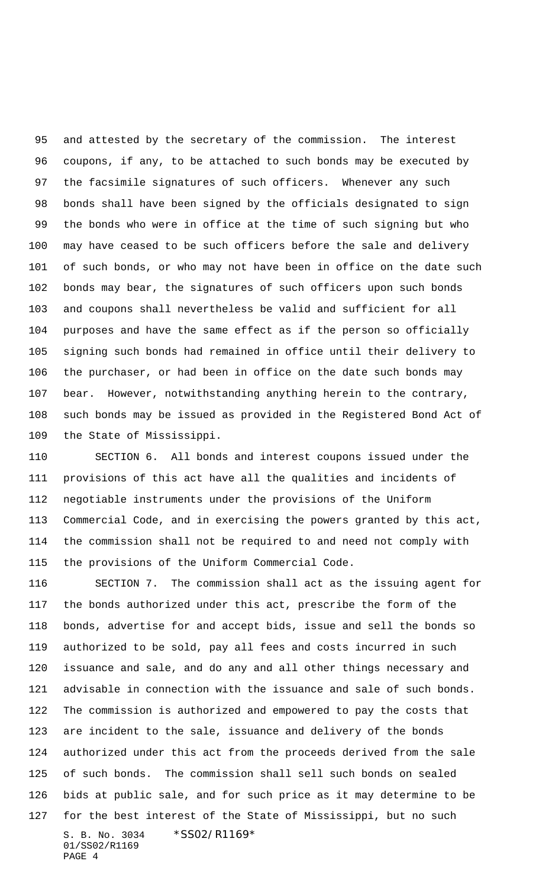and attested by the secretary of the commission. The interest coupons, if any, to be attached to such bonds may be executed by the facsimile signatures of such officers. Whenever any such bonds shall have been signed by the officials designated to sign the bonds who were in office at the time of such signing but who may have ceased to be such officers before the sale and delivery of such bonds, or who may not have been in office on the date such bonds may bear, the signatures of such officers upon such bonds and coupons shall nevertheless be valid and sufficient for all purposes and have the same effect as if the person so officially signing such bonds had remained in office until their delivery to the purchaser, or had been in office on the date such bonds may bear. However, notwithstanding anything herein to the contrary, such bonds may be issued as provided in the Registered Bond Act of the State of Mississippi.

 SECTION 6. All bonds and interest coupons issued under the provisions of this act have all the qualities and incidents of negotiable instruments under the provisions of the Uniform Commercial Code, and in exercising the powers granted by this act, the commission shall not be required to and need not comply with the provisions of the Uniform Commercial Code.

S. B. No. 3034 \* SS02/R1169\* 01/SS02/R1169 PAGE 4 SECTION 7. The commission shall act as the issuing agent for the bonds authorized under this act, prescribe the form of the bonds, advertise for and accept bids, issue and sell the bonds so authorized to be sold, pay all fees and costs incurred in such issuance and sale, and do any and all other things necessary and advisable in connection with the issuance and sale of such bonds. The commission is authorized and empowered to pay the costs that are incident to the sale, issuance and delivery of the bonds authorized under this act from the proceeds derived from the sale of such bonds. The commission shall sell such bonds on sealed bids at public sale, and for such price as it may determine to be for the best interest of the State of Mississippi, but no such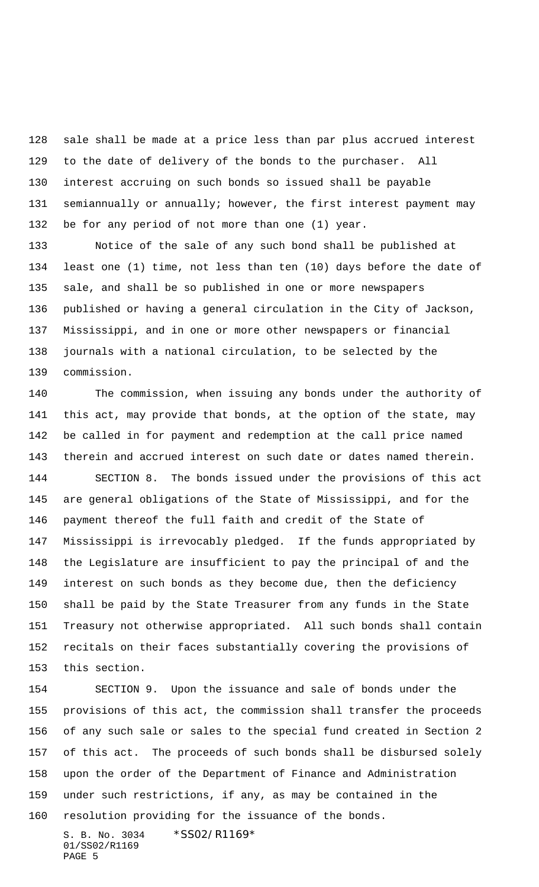sale shall be made at a price less than par plus accrued interest to the date of delivery of the bonds to the purchaser. All interest accruing on such bonds so issued shall be payable semiannually or annually; however, the first interest payment may be for any period of not more than one (1) year.

 Notice of the sale of any such bond shall be published at least one (1) time, not less than ten (10) days before the date of sale, and shall be so published in one or more newspapers published or having a general circulation in the City of Jackson, Mississippi, and in one or more other newspapers or financial journals with a national circulation, to be selected by the commission.

 The commission, when issuing any bonds under the authority of this act, may provide that bonds, at the option of the state, may be called in for payment and redemption at the call price named therein and accrued interest on such date or dates named therein. SECTION 8. The bonds issued under the provisions of this act are general obligations of the State of Mississippi, and for the payment thereof the full faith and credit of the State of Mississippi is irrevocably pledged. If the funds appropriated by the Legislature are insufficient to pay the principal of and the interest on such bonds as they become due, then the deficiency shall be paid by the State Treasurer from any funds in the State Treasury not otherwise appropriated. All such bonds shall contain recitals on their faces substantially covering the provisions of this section.

 SECTION 9. Upon the issuance and sale of bonds under the provisions of this act, the commission shall transfer the proceeds of any such sale or sales to the special fund created in Section 2 of this act. The proceeds of such bonds shall be disbursed solely upon the order of the Department of Finance and Administration under such restrictions, if any, as may be contained in the resolution providing for the issuance of the bonds.

S. B. No. 3034 \*SS02/R1169\* 01/SS02/R1169 PAGE 5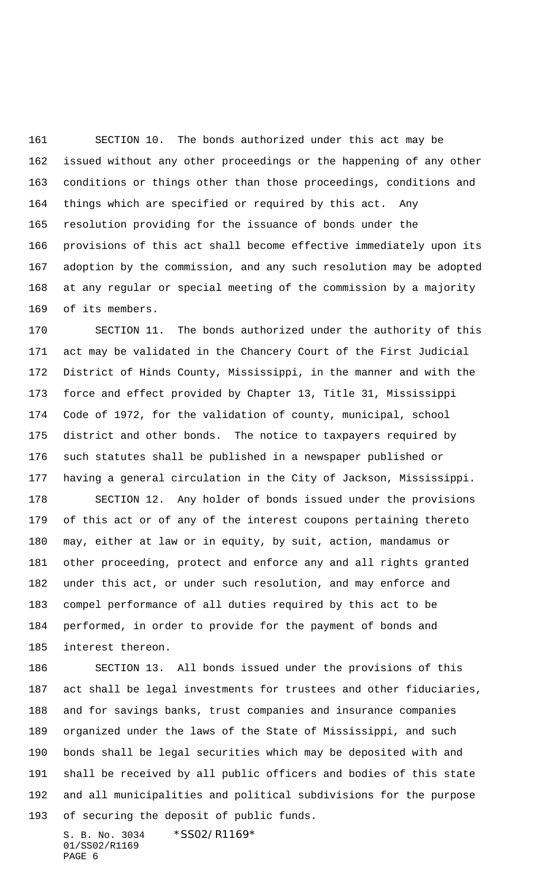SECTION 10. The bonds authorized under this act may be issued without any other proceedings or the happening of any other conditions or things other than those proceedings, conditions and things which are specified or required by this act. Any resolution providing for the issuance of bonds under the provisions of this act shall become effective immediately upon its adoption by the commission, and any such resolution may be adopted at any regular or special meeting of the commission by a majority of its members.

 SECTION 11. The bonds authorized under the authority of this act may be validated in the Chancery Court of the First Judicial District of Hinds County, Mississippi, in the manner and with the force and effect provided by Chapter 13, Title 31, Mississippi Code of 1972, for the validation of county, municipal, school district and other bonds. The notice to taxpayers required by such statutes shall be published in a newspaper published or having a general circulation in the City of Jackson, Mississippi.

 SECTION 12. Any holder of bonds issued under the provisions of this act or of any of the interest coupons pertaining thereto may, either at law or in equity, by suit, action, mandamus or other proceeding, protect and enforce any and all rights granted under this act, or under such resolution, and may enforce and compel performance of all duties required by this act to be performed, in order to provide for the payment of bonds and interest thereon.

 SECTION 13. All bonds issued under the provisions of this act shall be legal investments for trustees and other fiduciaries, and for savings banks, trust companies and insurance companies organized under the laws of the State of Mississippi, and such bonds shall be legal securities which may be deposited with and shall be received by all public officers and bodies of this state and all municipalities and political subdivisions for the purpose of securing the deposit of public funds.

S. B. No. 3034 \* SS02/R1169\* 01/SS02/R1169 PAGE 6